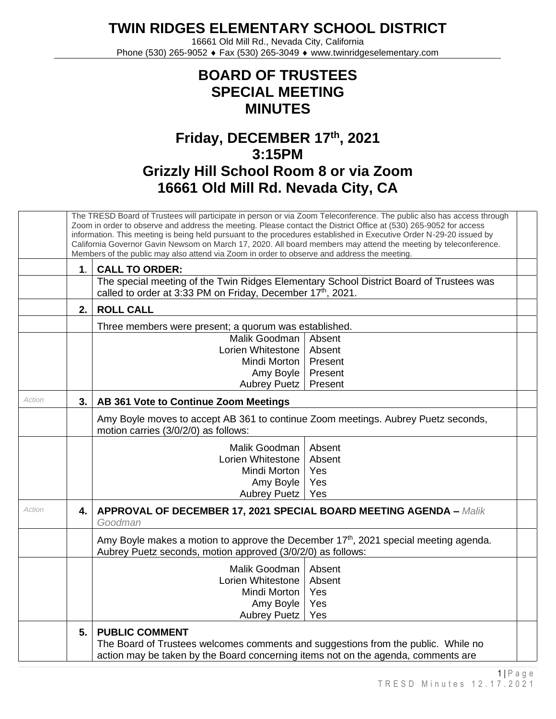**TWIN RIDGES ELEMENTARY SCHOOL DISTRICT**

16661 Old Mill Rd., Nevada City, California Phone (530) 265-9052 ♦ Fax (530) 265-3049 ♦ www.twinridgeselementary.com

## **BOARD OF TRUSTEES SPECIAL MEETING MINUTES**

## **Friday, DECEMBER 17 th , 2021 3:15PM Grizzly Hill School Room 8 or via Zoom 16661 Old Mill Rd. Nevada City, CA**

|        |                                             | The TRESD Board of Trustees will participate in person or via Zoom Teleconference. The public also has access through<br>Zoom in order to observe and address the meeting. Please contact the District Office at (530) 265-9052 for access<br>information. This meeting is being held pursuant to the procedures established in Executive Order N-29-20 issued by<br>California Governor Gavin Newsom on March 17, 2020. All board members may attend the meeting by teleconference.<br>Members of the public may also attend via Zoom in order to observe and address the meeting. |  |  |  |  |
|--------|---------------------------------------------|-------------------------------------------------------------------------------------------------------------------------------------------------------------------------------------------------------------------------------------------------------------------------------------------------------------------------------------------------------------------------------------------------------------------------------------------------------------------------------------------------------------------------------------------------------------------------------------|--|--|--|--|
|        | 1 <sub>1</sub>                              | <b>CALL TO ORDER:</b>                                                                                                                                                                                                                                                                                                                                                                                                                                                                                                                                                               |  |  |  |  |
|        |                                             | The special meeting of the Twin Ridges Elementary School District Board of Trustees was<br>called to order at 3:33 PM on Friday, December 17 <sup>th</sup> , 2021.                                                                                                                                                                                                                                                                                                                                                                                                                  |  |  |  |  |
|        | 2.                                          | <b>ROLL CALL</b>                                                                                                                                                                                                                                                                                                                                                                                                                                                                                                                                                                    |  |  |  |  |
|        |                                             | Three members were present; a quorum was established.                                                                                                                                                                                                                                                                                                                                                                                                                                                                                                                               |  |  |  |  |
|        |                                             | Malik Goodman<br>Absent                                                                                                                                                                                                                                                                                                                                                                                                                                                                                                                                                             |  |  |  |  |
|        |                                             | Lorien Whitestone<br>Absent                                                                                                                                                                                                                                                                                                                                                                                                                                                                                                                                                         |  |  |  |  |
|        |                                             | Mindi Morton<br>Present                                                                                                                                                                                                                                                                                                                                                                                                                                                                                                                                                             |  |  |  |  |
|        |                                             | Amy Boyle<br>Present                                                                                                                                                                                                                                                                                                                                                                                                                                                                                                                                                                |  |  |  |  |
|        |                                             | Aubrey Puetz<br>Present                                                                                                                                                                                                                                                                                                                                                                                                                                                                                                                                                             |  |  |  |  |
| Action | AB 361 Vote to Continue Zoom Meetings<br>3. |                                                                                                                                                                                                                                                                                                                                                                                                                                                                                                                                                                                     |  |  |  |  |
|        |                                             | Amy Boyle moves to accept AB 361 to continue Zoom meetings. Aubrey Puetz seconds,<br>motion carries (3/0/2/0) as follows:                                                                                                                                                                                                                                                                                                                                                                                                                                                           |  |  |  |  |
|        |                                             | Malik Goodman<br>Absent                                                                                                                                                                                                                                                                                                                                                                                                                                                                                                                                                             |  |  |  |  |
|        |                                             | Lorien Whitestone<br>Absent                                                                                                                                                                                                                                                                                                                                                                                                                                                                                                                                                         |  |  |  |  |
|        |                                             | Mindi Morton<br>Yes                                                                                                                                                                                                                                                                                                                                                                                                                                                                                                                                                                 |  |  |  |  |
|        |                                             | Amy Boyle<br>Yes                                                                                                                                                                                                                                                                                                                                                                                                                                                                                                                                                                    |  |  |  |  |
|        |                                             | Aubrey Puetz<br>Yes                                                                                                                                                                                                                                                                                                                                                                                                                                                                                                                                                                 |  |  |  |  |
| Action | 4.                                          | <b>APPROVAL OF DECEMBER 17, 2021 SPECIAL BOARD MEETING AGENDA - Malik</b><br>Goodman                                                                                                                                                                                                                                                                                                                                                                                                                                                                                                |  |  |  |  |
|        |                                             | Amy Boyle makes a motion to approve the December 17 <sup>th</sup> , 2021 special meeting agenda.<br>Aubrey Puetz seconds, motion approved (3/0/2/0) as follows:                                                                                                                                                                                                                                                                                                                                                                                                                     |  |  |  |  |
|        |                                             | Malik Goodman   Absent                                                                                                                                                                                                                                                                                                                                                                                                                                                                                                                                                              |  |  |  |  |
|        |                                             | Lorien Whitestone<br>Absent                                                                                                                                                                                                                                                                                                                                                                                                                                                                                                                                                         |  |  |  |  |
|        |                                             | Yes<br>Mindi Morton                                                                                                                                                                                                                                                                                                                                                                                                                                                                                                                                                                 |  |  |  |  |
|        |                                             | Amy Boyle<br>Yes                                                                                                                                                                                                                                                                                                                                                                                                                                                                                                                                                                    |  |  |  |  |
|        |                                             | <b>Aubrey Puetz</b><br>Yes                                                                                                                                                                                                                                                                                                                                                                                                                                                                                                                                                          |  |  |  |  |
|        | 5.                                          | <b>PUBLIC COMMENT</b><br>The Board of Trustees welcomes comments and suggestions from the public. While no<br>action may be taken by the Board concerning items not on the agenda, comments are                                                                                                                                                                                                                                                                                                                                                                                     |  |  |  |  |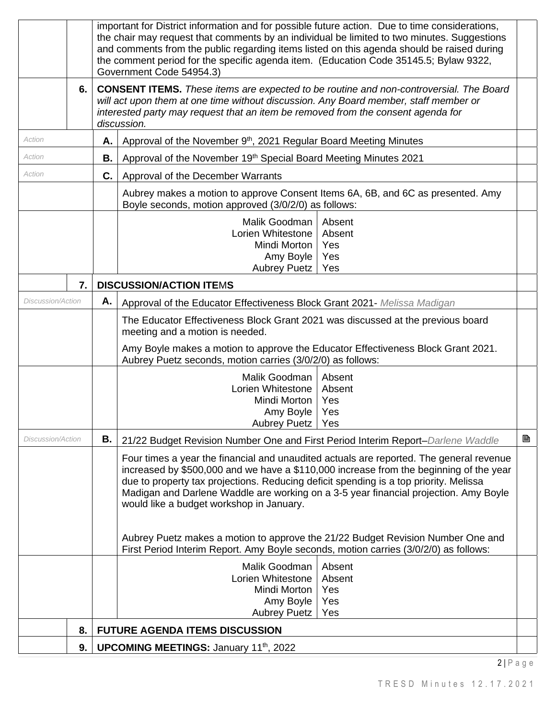|                          | 9. |    | <b>UPCOMING MEETINGS: January 11th, 2022</b>                                                                                                                                              |   |
|--------------------------|----|----|-------------------------------------------------------------------------------------------------------------------------------------------------------------------------------------------|---|
|                          | 8. |    | <b>FUTURE AGENDA ITEMS DISCUSSION</b>                                                                                                                                                     |   |
|                          |    |    | Yes<br><b>Aubrey Puetz</b>                                                                                                                                                                |   |
|                          |    |    | Yes<br>Amy Boyle                                                                                                                                                                          |   |
|                          |    |    | Lorien Whitestone<br>Absent<br>Mindi Morton<br>Yes                                                                                                                                        |   |
|                          |    |    | Malik Goodman<br>Absent                                                                                                                                                                   |   |
|                          |    |    | First Period Interim Report. Amy Boyle seconds, motion carries (3/0/2/0) as follows:                                                                                                      |   |
|                          |    |    | Aubrey Puetz makes a motion to approve the 21/22 Budget Revision Number One and                                                                                                           |   |
|                          |    |    |                                                                                                                                                                                           |   |
|                          |    |    | would like a budget workshop in January.                                                                                                                                                  |   |
|                          |    |    | due to property tax projections. Reducing deficit spending is a top priority. Melissa<br>Madigan and Darlene Waddle are working on a 3-5 year financial projection. Amy Boyle             |   |
|                          |    |    | increased by \$500,000 and we have a \$110,000 increase from the beginning of the year                                                                                                    |   |
|                          |    |    | Four times a year the financial and unaudited actuals are reported. The general revenue                                                                                                   |   |
| Discussion/Action        |    | В. | 21/22 Budget Revision Number One and First Period Interim Report-Darlene Waddle                                                                                                           | B |
|                          |    |    | Amy Boyle<br>Yes<br>Aubrey Puetz<br>Yes                                                                                                                                                   |   |
|                          |    |    | Mindi Morton<br>Yes                                                                                                                                                                       |   |
|                          |    |    | Malik Goodman<br>Absent<br>Lorien Whitestone<br>Absent                                                                                                                                    |   |
|                          |    |    | Aubrey Puetz seconds, motion carries (3/0/2/0) as follows:                                                                                                                                |   |
|                          |    |    | Amy Boyle makes a motion to approve the Educator Effectiveness Block Grant 2021.                                                                                                          |   |
|                          |    |    | meeting and a motion is needed.                                                                                                                                                           |   |
|                          |    |    | The Educator Effectiveness Block Grant 2021 was discussed at the previous board                                                                                                           |   |
| <i>Discussion/Action</i> |    | Α. | Approval of the Educator Effectiveness Block Grant 2021- Melissa Madigan                                                                                                                  |   |
|                          | 7. |    | <b>DISCUSSION/ACTION ITEMS</b>                                                                                                                                                            |   |
|                          |    |    | Amy Boyle<br>Yes<br><b>Aubrey Puetz</b><br>Yes                                                                                                                                            |   |
|                          |    |    | Mindi Morton<br>Yes                                                                                                                                                                       |   |
|                          |    |    | Malik Goodman<br>Absent<br>Lorien Whitestone<br>Absent                                                                                                                                    |   |
|                          |    |    | Boyle seconds, motion approved (3/0/2/0) as follows:                                                                                                                                      |   |
|                          |    |    | Aubrey makes a motion to approve Consent Items 6A, 6B, and 6C as presented. Amy                                                                                                           |   |
| Action                   |    | C. | Approval of the December Warrants                                                                                                                                                         |   |
| Action                   |    | В. | Approval of the November 19th Special Board Meeting Minutes 2021                                                                                                                          |   |
| Action                   |    | Α. | Approval of the November 9 <sup>th</sup> , 2021 Regular Board Meeting Minutes                                                                                                             |   |
|                          |    |    | interested party may request that an item be removed from the consent agenda for<br>discussion.                                                                                           |   |
|                          |    |    | <b>CONSENT ITEMS.</b> These items are expected to be routine and non-controversial. The Board<br>will act upon them at one time without discussion. Any Board member, staff member or     |   |
|                          | 6. |    | Government Code 54954.3)                                                                                                                                                                  |   |
|                          |    |    | the comment period for the specific agenda item. (Education Code 35145.5; Bylaw 9322,                                                                                                     |   |
|                          |    |    | the chair may request that comments by an individual be limited to two minutes. Suggestions<br>and comments from the public regarding items listed on this agenda should be raised during |   |
|                          |    |    | important for District information and for possible future action. Due to time considerations,                                                                                            |   |